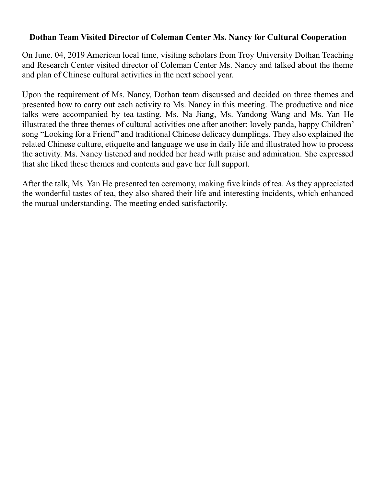## **Dothan Team Visited Director of Coleman Center Ms. Nancy for Cultural Cooperation**

On June. 04, 2019 American local time, visiting scholars from Troy University Dothan Teaching and Research Center visited director of Coleman Center Ms. Nancy and talked about the theme and plan of Chinese cultural activities in the next school year.

Upon the requirement of Ms. Nancy, Dothan team discussed and decided on three themes and presented how to carry out each activity to Ms. Nancy in this meeting. The productive and nice talks were accompanied by tea-tasting. Ms. Na Jiang, Ms. Yandong Wang and Ms. Yan He illustrated the three themes of cultural activities one after another: lovely panda, happy Children' song "Looking for a Friend" and traditional Chinese delicacy dumplings. They also explained the related Chinese culture, etiquette and language we use in daily life and illustrated how to process the activity. Ms. Nancy listened and nodded her head with praise and admiration. She expressed that she liked these themes and contents and gave her full support.

After the talk, Ms. Yan He presented tea ceremony, making five kinds of tea. As they appreciated the wonderful tastes of tea, they also shared their life and interesting incidents, which enhanced the mutual understanding. The meeting ended satisfactorily.